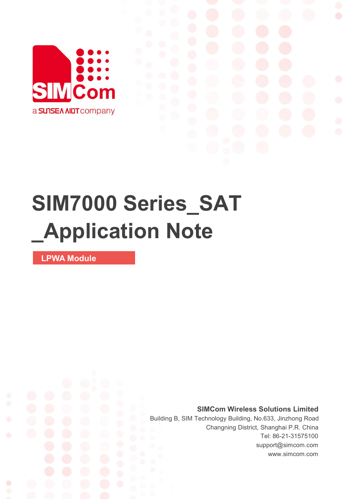

# **SIM7000 Series\_SAT \_Application Note**

**LPWA Module**

Ø

**SIMCom Wireless Solutions Limited**

Building B, SIM Technology Building, No.633, Jinzhong Road Changning District, Shanghai P.R. China Tel: 86-21-31575100 support@simcom.com www.simcom.com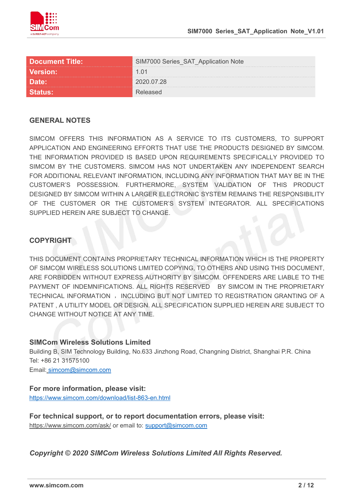

| <b>Document Title:</b> | M7000 Series_SAT_Application Note |
|------------------------|-----------------------------------|
| <b>Version:</b>        |                                   |
| Date:                  | <u>በ2በ በ7 28</u>                  |
|                        |                                   |

#### **GENERAL NOTES**

SIMCOM OFFERS THIS INFORMATION AS A SERVICE TO ITS CUSTOMERS. TO SUPPORT APPLICATION AND ENGINEERING EFFORTS THAT USE THE PRODUCTS DESIGNED BY SIMCOM. THE INFORMATION PROVIDED IS BASED UPON REQUIREMENTS SPECIFICALLY PROVIDED TO SIMCOM BY THE CUSTOMERS. SIMCOM HAS NOT UNDERTAKEN ANY INDEPENDENT SEARCH FOR ADDITIONAL RELEVANT INFORMATION, INCLUDING ANY INFORMATION THAT MAY BE IN THE CUSTOMER'S POSSESSION. FURTHERMORE, SYSTEM VALIDATION OF THIS PRODUCT DESIGNED BY SIMCOM WITHIN A LARGER ELECTRONIC SYSTEM REMAINS THE RESPONSIBILITY OF THE CUSTOMER OR THE CUSTOMER'S SYSTEM INTEGRATOR. ALL SPECIFICATIONS SUPPLIED HEREIN ARE SUBJECT TO CHANGE.

#### **COPYRIGHT**

THIS DOCUMENT CONTAINS PROPRIETARY TECHNICAL INFORMATION WHICH IS THE PROPERTY OF SIMCOM WIRELESS SOLUTIONS LIMITED COPYING, TO OTHERS AND USING THIS DOCUMENT, ARE FORBIDDEN WITHOUT EXPRESS AUTHORITY BY SIMCOM. OFFENDERS ARE LIABLE TO THE PAYMENT OF INDEMNIFICATIONS. ALL RIGHTS RESERVED BY SIMCOM IN THE PROPRIETARY TECHNICAL INFORMATION , INCLUDING BUT NOT LIMITED TO REGISTRATION GRANTING OF A PATENT , A UTILITY MODEL OR DESIGN. ALL SPECIFICATION SUPPLIED HEREIN ARE SUBJECT TO CHANGE WITHOUT NOTICE AT ANY TIME.

#### **SIMCom Wireless Solutions Limited**

Building B, SIM Technology Building, No.633 Jinzhong Road, Changning District, Shanghai P.R. China Tel: +86 21 31575100

Email: [simcom@simcom.com](mailto:simcom@simcom.com)

#### **For more information, please visit:**

<https://www.simcom.com/download/list-863-en.html>

**For technical support, or to report documentation errors, please visit:** https://www.simcom.com/ask/ or email to: [support@simcom.com](mailto:support@simcom.com)

*Copyright © 2020 SIMCom Wireless Solutions Limited All Rights Reserved.*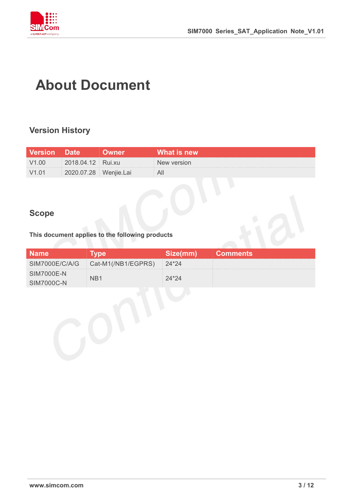

## **About Document**

### **Version History**

| <b>Version</b> Date |                       | <b>Owner</b> | What is new |
|---------------------|-----------------------|--------------|-------------|
| V <sub>1.00</sub>   | 2018.04.12 Rui.xu     |              | New version |
| V1.01               | 2020.07.28 Wenjie.Lai |              |             |

### **Scope**

#### **This document applies to the following products**

| <b>Name</b>                     |                                             | Size(mm) | <b>Comments</b> |
|---------------------------------|---------------------------------------------|----------|-----------------|
|                                 | SIM7000E/C/A/G   Cat-M1(/NB1/EGPRS)   24*24 |          |                 |
| <b>SIM7000E-N</b><br>SIM7000C-N |                                             |          |                 |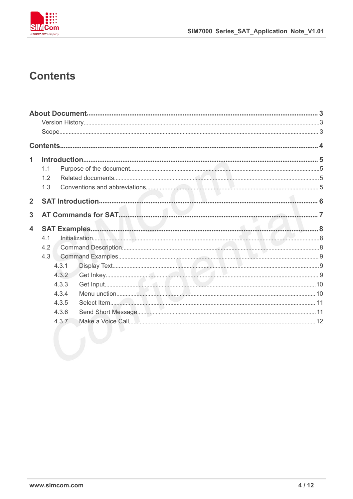

### **Contents**

| 1                       |     |       |  |
|-------------------------|-----|-------|--|
|                         | 1.1 |       |  |
|                         | 1.2 |       |  |
|                         | 1.3 |       |  |
| $\overline{2}$          |     |       |  |
|                         |     |       |  |
| 3                       |     |       |  |
| $\overline{\mathbf{4}}$ |     |       |  |
|                         | 4.1 |       |  |
|                         | 4.2 |       |  |
|                         | 4.3 |       |  |
|                         |     | 4.3.1 |  |
|                         |     | 4.3.2 |  |
|                         |     | 4.3.3 |  |
|                         |     | 4.3.4 |  |
|                         |     | 4.3.5 |  |
|                         |     | 4.3.6 |  |
|                         |     | 4.3.7 |  |
|                         |     |       |  |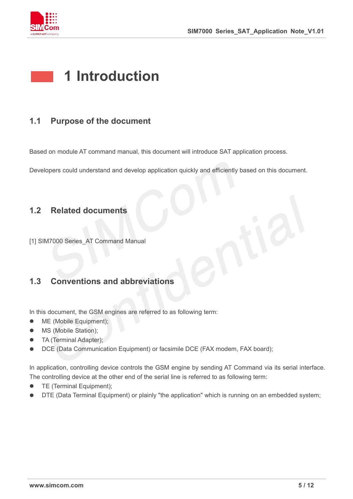

## **1 Introduction**

#### **1.1 Purpose of the document**

Based on module AT command manual, this document will introduce SAT application process.

Developers could understand and develop application quickly and efficiently based on this document.

#### **1.2 Related documents**

[1] SIM7000 Series AT Command Manual

### **1.3 Conventions and abbreviations**

In this document, the GSM engines are referred to as following term:

- ME (Mobile Equipment);
- MS (Mobile Station);
- TA (Terminal Adapter);
- DCE (Data Communication Equipment) or facsimile DCE (FAX modem, FAX board);

In application, controlling device controls the GSM engine by sending AT Command via its serial interface. The controlling device at the other end of the serial line is referred to as following term:

- **•** TE (Terminal Equipment);
- DTE (Data Terminal Equipment) or plainly "the application" which is running on an embedded system;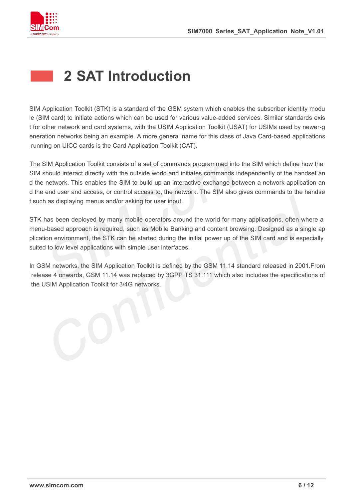

## **2 SAT Introduction**

SIM Application Toolkit (STK) is a standard of the GSM system which enables the subscriber identity modu le (SIM card) to initiate actions which can be used for various value-added services. Similar standards exis t for other network and card systems, with the USIM Application Toolkit (USAT) for USIMs used by newer-g eneration networks being an example. A more general name for this class of Java Card-based applications running on UICC cards is the Card Application Toolkit (CAT).

The SIM Application Toolkit consists of a set of commands programmed into the SIM which define how the SIM should interact directly with the outside world and initiates commands independently of the handset an d the network. This enables the SIM to build up an interactive exchange between a network application an d the end userand access, or control access to, the network. The SIM also gives commands to the handse t such as displaying menus and/or asking for user input.

STK has been deployed by many mobile operators around the world for many applications, often where a menu-based approach is required, such as Mobile Banking and content browsing. Designed as a single ap plication environment, the STK can be started during the initial power up of the SIM card and is especially suited to low level applications with simple user interfaces.

In GSM networks, the SIM Application Toolkit is defined by the GSM 11.14 standard released in 2001. From release 4 onwards, GSM 11.14 was replaced by 3GPP TS 31.111 which also includes the specifications of the USIM Application Toolkit for 3/4G networks.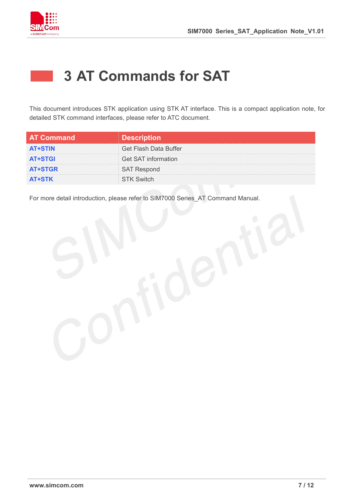

## **3 AT Commands for SAT**

This document introduces STK application using STK AT interface. This is a compact application note, for detailed STK command interfaces, please refer to ATC document.

| ⊦AT Command'   | <b>Description</b>         |
|----------------|----------------------------|
| <b>AT+STIN</b> | Get Flash Data Buffer      |
| <b>AT+STGI</b> | <b>Get SAT information</b> |
| <b>AT+STGR</b> |                            |
| <b>AT+STK</b>  |                            |

For more detail introduction, please refer to SIM7000 Series\_AT Command Manual.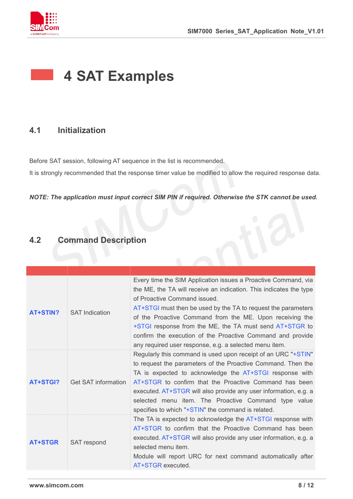

## **4 SAT Examples**

#### **4.1 Initialization**

Before SAT session, following AT sequence in the list is recommended.

It is strongly recommended that the response timer value be modified to allow the required response data.

*NOTE: The application must input correct SIM PIN if required. Otherwise the STK cannot be used.*

### **4.2 Command Description**

| AT+STIN?       | <b>SAT Indication</b>      | Every time the SIM Application issues a Proactive Command, via<br>the ME, the TA will receive an indication. This indicates the type<br>of Proactive Command issued.<br>AT+STGI must then be used by the TA to request the parameters<br>of the Proactive Command from the ME. Upon receiving the<br>+STGI response from the ME, the TA must send AT+STGR to<br>confirm the execution of the Proactive Command and provide<br>any required user response, e.g. a selected menu item. |
|----------------|----------------------------|--------------------------------------------------------------------------------------------------------------------------------------------------------------------------------------------------------------------------------------------------------------------------------------------------------------------------------------------------------------------------------------------------------------------------------------------------------------------------------------|
| AT+STGI?       | <b>Get SAT information</b> | Regularly this command is used upon receipt of an URC "+STIN"<br>to request the parameters of the Proactive Command. Then the<br>TA is expected to acknowledge the AT+STGI response with<br>AT+STGR to confirm that the Proactive Command has been<br>executed. AT+STGR will also provide any user information, e.g. a<br>selected menu item. The Proactive Command type value<br>specifies to which "+STIN" the command is related.                                                 |
| <b>AT+STGR</b> | SAT respond                | The TA is expected to acknowledge the AT+STGI response with<br>AT+STGR to confirm that the Proactive Command has been<br>executed. AT+STGR will also provide any user information, e.g. a<br>selected menu item.<br>Module will report URC for next command automatically after<br>AT+STGR executed.                                                                                                                                                                                 |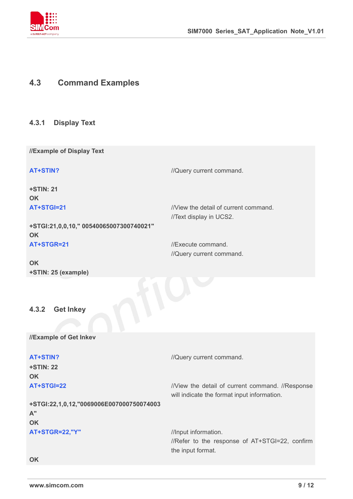

#### **4.3 Command Examples**

#### **4.3.1 Display Text**

**//Example of Display Text**

**AT+STIN?** //Query current command.

**+STIN: 21 OK**

**AT+STGI=21** *INiew the detail of current command.* 

**+STGI:21,0,0,10," 00540065007300740021" OK AT+STGR=21** //Execute command.

//Query current command.

//Text display in UCS2.

**OK +STIN: 25 (example)**

**4.3.2 Get Inkey**

**//Example of Get Inkev**

**+STIN: 22 OK**

**AT+STIN?** //Query current command.

the input format.

**AT+STGI=22** //View the detail of current command. //Response will indicate the format input information.

**+STGI:22,1,0,12,"0069006E007000750074003 A" OK**

**AT+STGR=22,"Y"** //Input information. //Refer to the response of AT+STGI=22, confirm

**OK**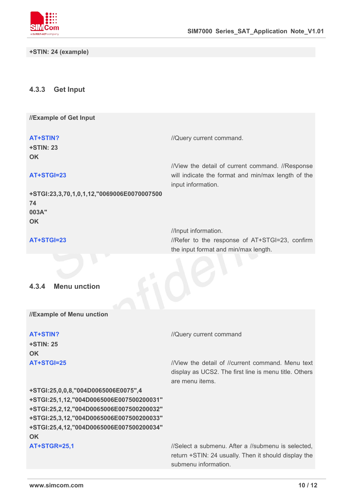

**+STIN: 24 (example)**

#### **4.3.3 Get Input**

**//Example of Get Input**

**+STIN: 23 OK**

**AT+STIN?** //Query current command.

#### **AT+STGI=23**

input information. **+STGI:23,3,70,1,0,1,12,"0069006E0070007500 74**

#### **AT+STGI=23**

**003A"**

//View the detail of current command. //Response will indicate the format and min/max length of the

//Input information. //Refer to the response of AT+STGI=23, confirm the input format and min/max length.

#### **4.3.4 Menu unction**

**OK**

**//Example of Menu unction**

**+STIN: 25 OK**

**+STGI:25,0,0,8,"004D0065006E0075",4 +STGI:25,1,12,"004D0065006E007500200031" +STGI:25,2,12,"004D0065006E007500200032" +STGI:25,3,12,"004D0065006E007500200033" +STGI:25,4,12,"004D0065006E007500200034" OK**

**AT+STIN?** *//Query current command* 

**AT+STGI=25** //View the detail of //current command. Menu text display as UCS2. The first line is menu title. Others are menu items.

AT+STGR=25,1 *AT+STGR=25,1 ISelect a submenu. After a //submenu is selected,* return +STIN: 24 usually. Then it should display the submenu information.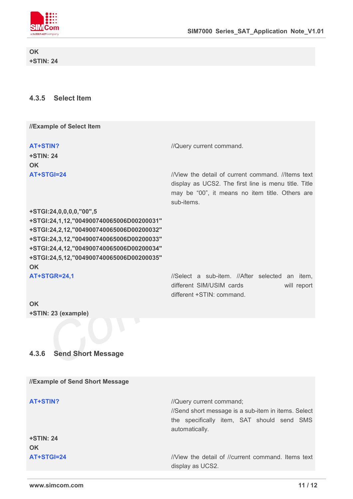

**OK +STIN: 24**

#### **4.3.5 Select Item**

**//Example of Select Item**

**+STIN: 24 OK**

**AT+STIN?** *//Query current command.* 

**AT+STGI=24** //View the detail of current command. //Items text display as UCS2. The first line is menu title. Title may be "00", it means no item title. Others are sub-items.

**+STGI:24,0,0,0,0,"00",5 +STGI:24,1,12,"004900740065006D00200031" +STGI:24,2,12,"004900740065006D00200032" +STGI:24,3,12,"004900740065006D00200033" +STGI:24,4,12,"004900740065006D00200034" +STGI:24,5,12,"004900740065006D00200035" OK**

AT+STGR=24,1 //Select a sub-item. //After selected an item, different SIM/USIM cards will report different +STIN: command.

**OK +STIN: 23 (example)**

#### **4.3.6 Send Short Message**

| <b>I/Example of Send Short Message</b> |                                                                                 |
|----------------------------------------|---------------------------------------------------------------------------------|
| AT+STIN?                               | //Query current command;<br>//Send short message is a sub-item in items. Select |
|                                        |                                                                                 |
|                                        | the specifically item, SAT should send SMS                                      |
|                                        | automatically.                                                                  |
| <b>+STIN: 24</b>                       |                                                                                 |
| <b>OK</b>                              |                                                                                 |
| AT+STGI=24                             | //View the detail of //current command. Items text                              |
|                                        | display as UCS2.                                                                |